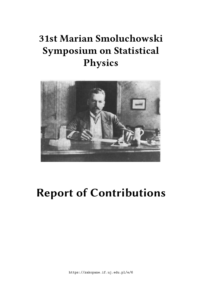# **31st Marian Smoluchowski Symposium on Statistical Physics**



# **Report of Contributions**

https://zakopane.if.uj.edu.pl/e/6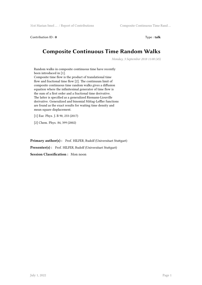Contribution ID : **0** Type : **talk**

## **Composite Continuous Time Random Walks**

*Monday, 3 September 2018 11:00 (45)*

Random walks in composite continuous time have recently been introduced in [1]. Composite time flow is the product of translational time flow and fractional time flow [2]. The continuum limit of composite continuous time random walks gives a diffusion equation where the infinitesimal generator of time flow is the sum of a first order and a fractional time derivative. The latter is specified as a generalized Riemann-Liouville derivative. Generalized and binomial Mittag-Leffler functions are found as the exact results for waiting time density and mean square displacement.

[1] Eur. Phys. J. B 90, 233 (2017)

[2] Chem. Phys. 84, 399 (2002)

Primary author(s): Prof. HILFER, Rudolf (Universitaet Stuttgart)

**Presenter(s) :** Prof. HILFER, Rudolf (Universitaet Stuttgart)

**Session Classification :** Mon noon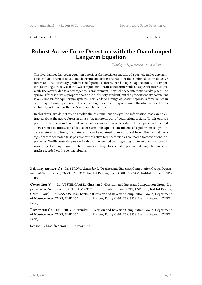Contribution ID : **1** Type : **talk**

#### **Robust Active Force Detection with the Overdamped Langevin Equation**

*Tuesday, 4 September 2018 10:05 (20)*

The Overdamped Langevin equation describes the inertialess motion of a particle under deterministic drift and thermal noise. The deterministic drift is the result of the combined action of active forces and the diffusivity gradient (the "spurious" force). For biological applications, it is important to distinguish between the two components, because the former indicates specific interactions, while the latter is due to a heterogeneous environment, in which these interactions take place. The spurious force is always proportional to the diffusivity gradient, but the proportionality coefficient is only known for equilibrium systems. This leads to a range of possible spurious force values in out-of-equilibrium systems and leads to ambiguity in the interpretation of the observed drift. This ambiguity is known as the Itô-Stratonovich dilemma.

In this work, we do not try to resolve the dilemma, but analyze the information that can be extracted about the active forces in an *a priori* unknown out-of-equilibrium system. To this end, we propose a Bayesian method that marginalizes over all possible values of the spurious force and allows robust identification of active forces in both equilibrium and out-of-equilibrium setups. Under certain assumptions, the main result can be obtained in an analytical form. The method has a significantly decreased false positive rate of active force detection as compared to conventional approaches. We illustrate the practical value of the method by integrating it into an open-source software project and applying it to both numerical trajectories and experimental single-biomolecule tracks recorded on the cell membrane.

**Primary author(s):** Dr. SEROV, Alexander S. (Decision and Bayesian Computation Group, Department of Neuroscience, CNRS, UMR 3571, Institut Pasteur, Paris; C3BI, USR 3756, Institut Pasteur, CNRS - Paris)

**Co-author(s) :** Dr. VESTERGAARD, Christian L. (Decision and Bayesian Computation Group, Department of Neuroscience, CNRS, UMR 3571, Institut Pasteur, Paris; C3BI, USR 3756, Institut Pasteur, CNRS - Paris); Dr. MASSON, Jean-Baptiste (Decision and Bayesian Computation Group, Department of Neuroscience, CNRS, UMR 3571, Institut Pasteur, Paris; C3BI, USR 3756, Institut Pasteur, CNRS - Paris)

**Presenter(s) :** Dr. SEROV, Alexander S. (Decision and Bayesian Computation Group, Department of Neuroscience, CNRS, UMR 3571, Institut Pasteur, Paris; C3BI, USR 3756, Institut Pasteur, CNRS - Paris)

**Session Classification :** Tue morning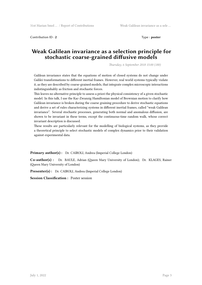**Contribution ID : 2** Type : **poster** 

## **Weak Galilean invariance as a selection principle for stochastic coarse-grained diffusive models**

*Thursday, 6 September 2018 15:00 (180)*

Galilean invariance states that the equations of motion of closed systems do not change under Galilei transformations to different inertial frames. However, real world systems typically violate it, as they are described by coarse-grained models, that integrate complex microscopic interactions indistinguishably as friction and stochastic forces.

This leaves no alternative principle to assess a priori the physical consistency of a given stochastic model. In this talk, I use the Kac-Zwanzig Hamiltonian model of Brownian motion to clarify how Galilean invariance is broken during the coarse graining procedure to derive stochastic equations and derive a set of rules characterizing systems in different inertial frames, called "weak Galilean invariance". Several stochastic processes, generating both normal and anomalous diffusion, are shown to be invariant in these terms, except the continuous-time random walk, whose correct invariant description is discussed.

These results are particularly relevant for the modelling of biological systems, as they provide a theoretical principle to select stochastic models of complex dynamics prior to their validation against experimental data.

**Primary author(s):** Dr. CAIROLI, Andrea (Imperial College London)

**Co-author(s) :** Dr. BAULE, Adrian (Queen Mary University of London); Dr. KLAGES, Rainer (Queen Mary University of London)

**Presenter(s) :** Dr. CAIROLI, Andrea (Imperial College London)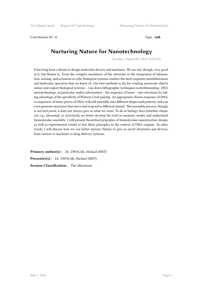Contribution ID : **4** Type : **talk**

## **Nurturing Nature for Nanotechnology**

*Tuesday, 4 September 2018 14:30 (45)*

It has long been a dream to design molecular devices and machines. We are not, though, very good at it, but Nature is. From the complex machinery of the ribosome to the integration of information, sensing, and actuation in cells, biological systems conduct the most exquisite nanofabrication and molecular operation that we know of. Our best methods so far for creating nanoscale objects mimic and exploit biological systems – top-down lithographic techniques notwithstanding. DNA nanotechnology, in particular, makes information – the sequence of bases – into structures by taking advantage of the specificity of Watson-Crick pairing. An appropriate chosen sequence of DNA, or sequences of many pieces of DNA, will self-assemble into different shapes and patterns, and can even generate structures that move and respond to different stimuli. This assembly process, though, is not fool proof; it does not always give us what we want. To do as biology does (whether chemical, e.g., ribosomal, or structural), we better develop the tools to measure, model, and understand biomolecular assembly. I will present theoretical principles of biomolecular nanostructure design, as well as experimental results to test these principles in the context of DNA origami. In other words, I will discuss how we can better nurture Nature to give us novel structures and devices, from sensors to machines to drug delivery systems.

**Primary author(s) :** Dr. ZWOLAK, Michael (NIST) **Presenter(s) :** Dr. ZWOLAK, Michael (NIST) **Session Classification :** Tue afternoon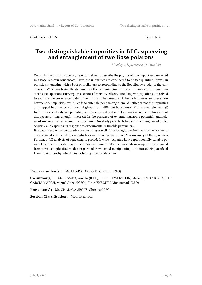Contribution ID : **5** Type : **talk**

#### **Two distinguishable impurities in BEC: squeezing and entanglement of two Bose polarons**

*Monday, 3 September 2018 15:15 (20)*

We apply the quantum open system formalism to describe the physics of two impurities immersed in a Bose-Einstein condensate. Here, the impurities are considered to be two quantum Brownian particles interacting with a bath of oscillators corresponding to the Bogoliubov modes of the condensate. We characterize the dynamics of the Brownian impurities with Langevin-like quantum stochastic equations carrying an account of memory effects. The Langevin equations are solved to evaluate the covariance matrix. We find that the presence of the bath induces an interaction between the impurities, which leads to entanglement among them. Whether or not the impurities are trapped in an external potential gives rise to different behaviours of such entanglement: (i) In the absence of external potential, we observe sudden death of entanglement, i.e., entanglement disappears at long enough times; (ii) In the presence of external harmonic potential, entanglement survives even at asymptotic time limit. Our study puts the behaviour of entanglement under scrutiny and captures its response to experimentally tunable parameters.

Besides entanglement, we study the squeezing as well. Interestingly, we find that the mean-squaredisplacement is super-diffusive, which as we prove, is due to non-Markovianity of the dynamics. Further, a full analysis of squeezing is provided, which explains how experimentally tunable parameters create or destroy squeezing. We emphasize that all of our analysis is rigorously obtained from a realistic physical model; in particular, we avoid manipulating it by introducing artificial Hamiltonians, or by introducing arbitrary spectral densities.

**Primary author(s) :** Mr. CHARALAMBOUS, Christos (ICFO)

**Co-author(s) :** Mr. LAMPO, Aniello (ICFO); Prof. LEWENSTEIN, Maciej (ICFO / ICREA); Dr. GARCIA MARCH, Miguel Ángel (ICFO); Dr. MEHBOUDI, Mohammad (ICFO)

**Presenter(s) :** Mr. CHARALAMBOUS, Christos (ICFO)

**Session Classification :** Mon afternoon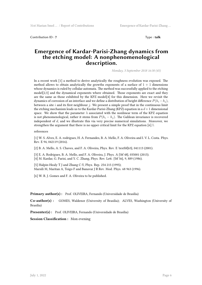Contribution ID : **7** Type : **talk**

#### **Emergence of Kardar-Parisi-Zhang dynamics from the etching model: A nonphenomenological description.**

*Monday, 3 September 2018 16:30 (45)*

In a recent work [1] a method to derive analytically the roughness evolution was exposed. The method allows to obtain analytically the growths exponents of a surface of  $1 + 1$  dimensions whose dynamics is ruled by cellular automata. The method was successfully applied to the etching model[2,3] and the dynamical exponents where obtained. Those exponents are exact and they are the same as those exhibited by the KPZ model[4] for this dimension. Here we revisit the dynamics of corrosion of an interface and we define a distribution of height difference  $P(h_i - h_j)$ , between a site *i* and its first neighbour *j*. We present a simple proof that in the continuous limit the etching mechanism leads us to the Kardar-Parisi-Zhang (KPZ) equation in a  $d+1$  dimensional space. We show that the parameter  $\lambda$  associated with the nonlinear term of the KPZ equation is not phenomenological, rather it stems from  $P(h_i - h_j)$ . The Galilean invariance is recovered independent of *d*, and we illustrate this via very precise numerical simulations. Moreover, we strengthen the argument that there is no upper critical limit for the KPZ equation [6].\\

#### references

[1] W. S. Alves, E. A. rodrigues, H. A. Fernandes, B. A. Mello, F. A. Oliveira and I. V. L. Costa. Phys. Rev. E 94, 042119 (2016).

[2] B. A. Mello, A. S. Chaves, and F. A. Oliveira, Phys. Rev. E \textbf{63}, 041113 (2001).

[3] E. A. Rodrigues, B. A. Mello, and F. A. Oliveira, J. Phys. A {\bf 48}, 035001 (2015). [4] M. Kardar, G. Parisi, and Y. C. Zhang, Phys. Rev. Lett. {\bf 56}, 9, 889 (1986).

[5] Halpin-Healy T J and Zhang C-Y, Phys. Rep. 254 215 (1995); Marsili M, Maritan A, Toigo F and Banavar J R Rev. Mod. Phys. 68 963 (1996).

[6] W. R. J. Gomes and F. A. Oliveira to be published.

#### Primary author(s): Prof. OLIVEIRA, Fernando (Universidade de Brasília)

**Co-author(s) :** GOMES, Waldenor (University of Brasilia); ALVES, Washington (University of Brasilia)

Presenter(s) : Prof. OLIVEIRA, Fernando (Universidade de Brasília)

**Session Classification :** Mon evening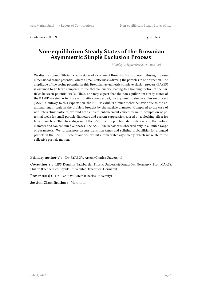Contribution ID : **9** Type : **talk**

#### **Non-equilibrium Steady States of the Brownian Asymmetric Simple Exclusion Process**

*Monday, 3 September 2018 11:45 (20)*

We discuss non-equilibrium steady states of a system of Brownian hard spheres diffusing in a onedimensional cosine potential, where a small static bias is driving the particles in one direction. The amplitude of the cosine potential in this Brownian asymmetric simple exclusion process (BASEP) is assumed to be large compared to the thermal energy, leading to a hopping motion of the particles between potential wells. Thus, one may expect that the non-equilibrium steady states of the BASEP are similar to those of its lattice counterpart, the asymmetric simple exclusion process (ASEP). Contrary to this expectation, the BASEP exhibits a much richer behavior due to the additional length scale in the problem brought by the particle diameter. Compared to the case of non-interacting particles, we find both current enhancement caused by multi-occupation of potential wells for small particle diameters and current suppression caused by a blocking effect for large diameters. The phase diagram of the BASEP with open boundaries depends on the particle diameter and can contain five phases. The ASEP-like behavior is observed only in a limited range of parameters. We furthermore discuss transition times and splitting probabilities for a tagged particle in the BASEP. These quantities exhibit a remarkable asymmetry, which we relate to the collective particle motion.

Primary author(s): Dr. RYABOV, Artem (Charles University)

**Co-author(s) :** LIPS, Dominik (Fachbereich Physik, Universität Osnabrück, Germany); Prof. MAASS, Philipp (Fachbereich Physik, Universität Osnabrück, Germany)

**Presenter(s) :** Dr. RYABOV, Artem (Charles University)

**Session Classification :** Mon noon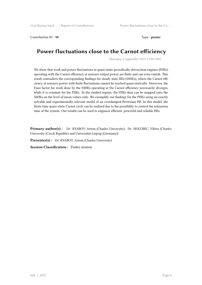Contribution ID: 10 **Type : poster** 

# **Power fluctuations close to the Carnot efficiency**

*Thursday, 6 September 2018 15:00 (180)*

We show that work and power fluctuations in quasi-static periodically driven heat engines (PHEs) operating with the Carnot efficiency at nonzero output power are finite and can even vanish. This result contradicts the corresponding findings for steady state HEs (SSHEs), where the Carnot efficiency at nonzero power with finite fluctuations cannot be reached quasi-statically. Moreover, the Fano factor for work done by the SSHEs operating at the Carnot efficiency necessarily diverges, while it is constant for the PHEs. In the studied regime, the PHEs thus can be mapped onto the SSHEs on the level of mean values only. We exemplify our findings for the PHEs using an exactly solvable and experimentally relevant model of an overdamped Brownian HE. In this model, the finite-time quasi-static Carnot cycle can be realized due to the possibility to control the relaxation time of the system. Our results can be used to engineer efficient, powerful and reliable HEs.

**Primary author(s) :** Dr. RYABOV, Artem (Charles University); Dr. HOLUBEC, Viktor (Charles University (Czech Republic) and Universität Leipzig (Germany))

**Presenter(s) :** Dr. RYABOV, Artem (Charles University)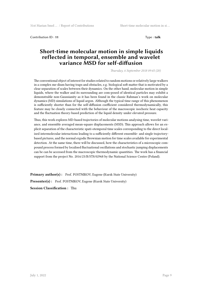Contribution ID : **11** Type : **talk**

#### **Short-time molecular motion in simple liquids reflected in temporal, ensemble and wavelet variance MSD for self-diffusion**

*Thursday, 6 September 2018 09:45 (20)*

The conventional object of interest for studies related to random motions or relatively large walkers in a complex me-dium having traps and obstacles, e.g. biological soft matter that is motivated by a clear separation of scales between their dynamics. On the other hand, molecular motion in simple liquids, where the walker and its surrounding are com-posed of identical particles may exhibit a demonstrable non-Gaussianity as it has been found in the classic Rahman's work on molecular dynamics (MD) simulations of liquid argon. Although the typical time range of this phenomenon is sufficiently shorter than for the self-diffusion coefficient considered thermodynamically, this feature may be closely connected with the behaviour of the macroscopic isochoric heat capacity and the fluctuation theory-based prediction of the liquid density under elevated pressure.

Thus, this work explores MD-based trajectories of molecular motions analysing time, wavelet variance, and ensemble averaged mean-square displacements (MSD). This approach allows for an explicit separation of the characteristic spati-otemporal time scales corresponding to the direct localized intermolecular interactions leading to a sufficiently different ensemble- and single trajectorybased pictures, and the normal ergodic Brownian motion for time scales available for experimental detection. At the same time, there will be discussed, how the characteristics of a microscopic compound process formed by localised fluctuational oscillations and stochastic jumping displacements can be can be accessed from the macroscopic thermodynamic quantities. The work has a financial support from the project No. 2016/23/B/ST8/02968 by the National Science Centre (Poland).

**Primary author(s):** Prof. POSTNIKOV, Eugene (Kursk State University) Presenter(s) : Prof. POSTNIKOV, Eugene (Kursk State University) **Session Classification :** Thu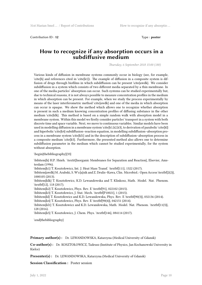Contribution ID : **12** Type : **poster** 

#### **How to recognize if any absorption occurs in a subdiffusive medium**

*Thursday, 6 September 2018 15:00 (180)*

Various kinds of diffusion in membrane systems commonly occur in biology (see, for example,  $\c{th}$  and references cited in  $\c{th}$ . The example of diffusion in a composite system is diffusion of drugs through biofilms in which subdiffusion can be present \cite{awdk}. We consider subdiffusion in a system which consists of two different media separated by a thin membrane. In one of the media particles' absorption can occur. Such systems can be studied experimentally but, due to technical reasons, it is not always possible to measure concentration profiles in the medium in which absorption can be present. For example, when we study the process experimentally by means of the laser interferometric method \cite{awdk} and one of the media in which absorption can occur is opaque. We show the method which allows one to recognize whether absorption is present in such a medium knowing concentration profiles of diffusing substance in the other medium \cite{klk}. This method is based on a simple random walk with absorption model in a membrane system. Within this model we firstly consider particles' transport in a system with both discrete time and space variable. Next, we move to continuous variables. Similar models have been used in modelling diffusion in a membrane system \cite{k1,k2,k3}, to derivation of parabolic \cite{kl} and hiperbolic \cite{k4} subdiffusion–reaction equation, in modelling subdiffusion–absorption process in a membrane system \cite{kl1} and in the description of subdiffusion–absorption process in a composite medium \cite{k5}. Furthermore, the presented method also allows one to determine subdiffusion parameter in the medium which cannot be studied experimentally, for the system without absorption.

\begin{thebibliography}{33}

\bibitem{h} H.P. Hsieh. \textit{Inorganic Membranes for Separation and Reaction}, Elsevier, Amsterdam (1996). \bibitem{k1} T. Kosztołowicz, Int. J. Heat Mass Transf. \textbf{111}, 1322 (2017).

\bibitem{awdk} M. Arabski, S. W\c{a}sik and Z. Drulis–Kawa, Clin. Microbiol.: Open Access \textbf{2(2)}, 1000105 (2013).

\bibitem{klk} T. Kosztołowicz, K.D. Lewandowska and T. Klinkosz, Math. Model. Nat. Phenom. \textbf{12}, 118 (2017).

\bibitem{k2} T. Kosztołowicz, Phys. Rev. E \textbf{91}, 022102 (2015).

\bibitem{k3} T. Kosztołowicz, J. Stat. Mech. \textbf{P10021}, 1 (2015).

\bibitem{kl} T. Kosztołowicz and K.D. Lewandowska, Phys. Rev. E \textbf{90(3)}, 032136 (2014).

\bibitem{k4} T. Kosztołowicz, Phys. Rev. E \textbf{90(4)}, 042151 (2014).

\bibitem{kl1} T. Kosztołowicz and K.D. Lewandowska, Math. Model. Nat. Phenom. \textbf{11(3)}, 128 (2016).

\bibitem{k5} T. Kosztołowicz, J. Chem. Phys. \textbf{146}, 084114 (2017).

\end{thebibliography}

**Primary author(s) :** Dr. LEWANDOWSKA, Katarzyna (Medical University of Gdansk)

**Co-author(s) :** Dr. KOSZTOŁOWICZ, Tadeusz (Institute of Physics, Jan Kochanowski University in Kielce)

**Presenter(s) :** Dr. LEWANDOWSKA, Katarzyna (Medical University of Gdansk)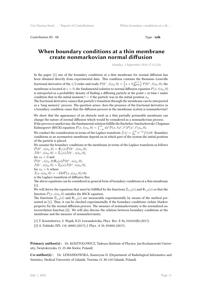Contribution ID : **13** Type : **talk**

#### **When boundary conditions at a thin membrane create nonmarkovian normal diffusion**

*Monday, 3 September 2018 17:15 (20)*

In the paper [1] one of the boundary conditions at a thin membrane for normal diffusion has been obtained directly from experimental data. This condition contains the Riemann–Liouville fractional derivative of the 1/2 order and reads  $P(0^-, t|x_0, 0) = \left(a + b\frac{\partial^{1/2}}{\partial t^{1/2}}\right)P(0^+, t|x_0, 0)$ , the membrane is located at  $x = 0$ , the fundamental solution to normal diffusion equation  $P(x, t|x_0, 0)$ is interpreted as a probability density of finding a diffusing particle at the point *x* at time *t* under condition that in the initial moment  $t = 0$  the particle was in the initial position  $x_0$ .

The fractional derivative causes that particle's transition through the membrane can be interpreted as a 'long memory' process. The question arises: does the presence of the fractional derivative in a boundary condition cause that the diffusion process in the membrane system is nonmarkovian?

We show that the appearance of an obstacle such as a thin partially permeable membrane can change the nature of normal diffusion which would be considered as a nonmarkovian process. If the process is markovian, the fundamental solution fulfills the Bachelier-Smoluchowski-Chapman-

Kolmogorov (BSCK) equation  $P(x, t|x_0, 0) = \int_{-\infty}^{\infty} dx' P(x, t|x', t') P(x', t'|x_0, 0)$ .

We conduct the consideration in terms of the Laplace transform  $\hat{f}(s) = \int_0^\infty e^{-st} f(t) dt$ . Boundary conditions at an asymmetric membrane depend on in which part of the system the initial position of the particle is placed.

We assume the boundary conditions at the membrane in terms of the Laplace transform as follows  $\hat{P}(0^+, s|x_0, 0) = \hat{\Phi}_1(s)\hat{P}(0^-, s|x_0, 0),$ 

 $\hat{J}(0^+, s|x_0, 0) = \Xi_1(s)\hat{J}(0^-, s|x_0, 0),$ for  $x_0 < 0$  and  $\hat{P}(0^-, s|x_0, 0) \hat{\Phi_2}(s) \hat{P}(0^+, s|x_0, 0),$  $\hat{J}(0^-, s|x_0, 0) = \hat{\Xi}_2(s)\hat{J}(0^+, s|x_0, 0),$ for  $x_0 > 0$ , where

 $\hat{J}(x, s|x_0, 0) = -D\partial \hat{P}(x, s|x_0, 0)/\partial x$ 

is the Laplace transform of diffusive flux.

The above equations can be considered as general form of boundary conditions at a thin membrane [1].

We will derive the equations that must be fulfilled by the functions  $\Xi_{1,2}(s)$  and  $\Phi_{1,2}(s)$  so that the function  $\hat{P}(x, s|x_0, 0)$  satisfies the BSCK equation.

The functions  $\Xi_{1,2}(s)$  and  $\Phi_{1,2}(s)$  are measurable experimentally by means of the method presented in [1]. Thus, it can be checked experimentally if the boundary conditions violate Markov property for the normal diffusion process. The measure of nonmarkovianity is the normalized autocorrelation function [2]. We will also discuss the relation between boundary conditions at the membrane and the measure of nonmarkovianity.

[1] T. Kosztołowicz, S. Wąsik, K.D. Lewandowska, Phys. Rev. E 96, 010101(R) (2017).

[2] A. Fuliński, EPL 118, 60002 (2017); J. Phys. A 50, 054002 (2017).

**Primary author(s) :** Dr. KOSZTOLOWICZ, Tadeusz (Inititute of Physics, Jan Kochanowski University, Świętokrzyska 15, 25-406 Kielce, Poland)

**Co-author(s) :** Dr. LEWANDOWSKA, Katarzyna D. (Department of Radiological Informatics and Statistics, Medical University of Gdańsk, Tuwima 15, 80-210 Gdańsk, Poland)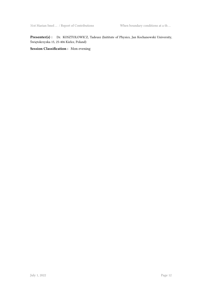Presenter(s) : Dr. KOSZTOLOWICZ, Tadeusz (Inititute of Physics, Jan Kochanowski University, Świętokrzyska 15, 25-406 Kielce, Poland)

**Session Classification :** Mon evening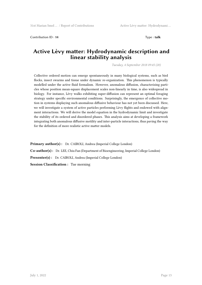Contribution ID : **14** Type : **talk**

#### **Active Lèvy matter: Hydrodynamic description and linear stability analysis**

*Tuesday, 4 September 2018 09:45 (20)*

Collective ordered motion can emerge spontaneously in many biological systems, such as bird flocks, insect swarms and tissue under dynamic re-organization. This phenomenon is typically modelled under the active fluid formalism. However, anomalous diffusion, characterizing particles whose position mean-square displacement scales non-linearly in time, is also widespread in biology. For instance, Lèvy walks exhibiting super-diffusion can represent an optimal foraging strategy under specific environmental conditions. Surprisingly, the emergence of collective motion in systems displaying such anomalous diffusive behaviour has not yet been discussed. Here, we will investigate a system of active particles performing Lèvy flights and endowed with alignment interactions. We will derive the model equation in the hydrodynamic limit and investigate the stability of its ordered and disordered phases. This analysis aims at developing a framework integrating both anomalous diffusive motility and inter-particle interactions, thus paving the way for the definition of more realistic active matter models.

**Primary author(s):** Dr. CAIROLI, Andrea (Imperial College London) **Co-author(s) :** Dr. LEE, Chiu Fan (Department of Bioengineering, Imperial College London) **Presenter(s) :** Dr. CAIROLI, Andrea (Imperial College London) **Session Classification :** Tue morning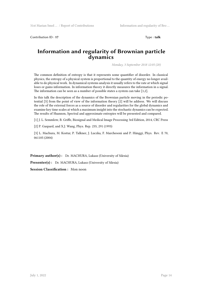Contribution ID : **17** Type : **talk**

#### **Information and regularity of Brownian particle dynamics**

*Monday, 3 September 2018 12:05 (20)*

The common definition of entropy is that it represents some quantifier of disorder. In classical physics, the entropy of a physical system is proportional to the quantity of energy no longer available to do physical work. In dynamical systems analysis it usually refers to the rate at which signal loses or gains information. In information theory it directly measures the information in a signal. The information can be seen as a number of possible states a system can take [1,2].

In this talk the description of the dynamics of the Brownian particle moving in the periodic potential [3] from the point of view of the information theory [2] will be address. We will discuss the role of the external forces as a source of disorder and regularities for the global dynamics and examine key time scales at which a maximum insight into the stochastic dynamics can be expected. The results of Shannon, Spectral and approximate entropies will be presented and compared.

[1] J. L. Semmlow, B. Griffe, Biosignal and Medical Image Processing 3rd Edition, 2014, CRC Press

[2] P. Gaspard, and X.J. Wang, Phys. Rep. 235, 291 (1993)

[3] L. Machura, M. Kostur, P. Talkner, J. Luczka, F. Marchesoni and P. Hänggi, Phys. Rev. E 70, 061105 (2004)

Primary author(s): Dr. MACHURA, Lukasz (University of Silesia) **Presenter(s) :** Dr. MACHURA, Lukasz (University of Silesia) **Session Classification :** Mon noon

July 1, 2022  $\qquad \qquad$  Page 14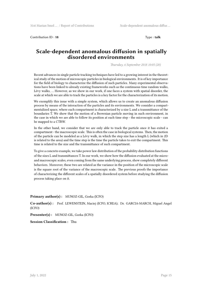Contribution ID : **18** Type : **talk**

#### **Scale-dependent anomalous diffusion in spatially disordered environments**

*Thursday, 6 September 2018 10:05 (20)*

Recent advances in single particle tracking techniques have led to a growing interest in the theoretical study of the motion of microscopic particles in biological environments. It is of key importance for the field of biology to characterize the diffusion of such particles. Many experimental observations have been linked to already existing frameworks such as the continuous time random walks, Lévy walks, … However, as we show in our work, if one faces a system with spatial disorder, the scale at which we are able to track the particles is a key factor for the characterization of its motion.

We exemplify this issue with a simple system, which allows us to create an anomalous diffusion process by means of the interaction of the particles and its environments. We consider a compartmentalized space, where each compartment is characterized by a size L and a transmittance of the boundaries T. We show that the motion of a Brownian particle moving in such environment, in the case in which we are able to follow its position at each time step - the microscopic scale - can be mapped to a CTRW.

In the other hand, we consider that we are only able to track the particle once it has exited a compartment - the macroscopic scale. This is often the case in biological systems. Then, the motion of the particle can be modeled as a Lévy walk, in which the step size has a length L (which in 2D is related to the area) and the time step is the time the particle takes to exit the compartment. This time is related to the size and the transmittance of such compartment.

To give a concrete example, we take power law distribution of the probability distribution functions of the sizes L and transmittances T. In our work, we show how the diffusion evaluated at the microand macroscopic scales, even coming from the same underlying process, show completely different behaviors. Moreover, these two are related as the variance in the position of the microscopic scale is the square root of the variance of the macroscopic scale. The previous proofs the importance of characterizing the different scales of a spatially disordered system before studying the diffusion process taking place on it.

#### **Primary author(s) :** MUNOZ-GIL, Gorka (ICFO)

**Co-author(s) :** Prof. LEWENSTEIN, Maciej (ICFO, ICREA); Dr. GARCIA-MARCH, Miguel Angel (ICFO)

**Presenter(s) :** MUNOZ-GIL, Gorka (ICFO)

**Session Classification :** Thu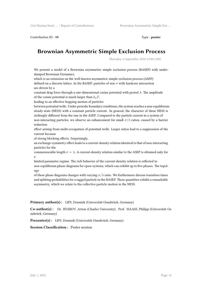Contribution ID: 19 Type : **poster** 

# **Brownian Asymmetric Simple Exclusion Process**

*Thursday, 6 September 2018 15:00 (180)*

We present a model of a Brownian asymmetric simple exclusion process (BASEP) with underdamped Brownian Dynamics,

which is an extension on the well-known asymmetric simple exclusion process (ASEP) defined on a discrete lattice. In the BASEP, particles of size *σ* with hardcore interaction are driven by a

constant drag force through a one-dimensional cosine potential with period *λ*. The amplitude of the cosine potential is much larger than  $k_{\text{B}}T$ ,

leading to an effective hopping motion of particles

between potential wells. Under periodic boundary conditions, the system reaches a non-equilibrium steady-state (NESS) with a constant particle current. In general, the character of these NESS is strikingly different from the one in the ASEP. Compared to the particle current in a system of non-interacting particles, we observe an enhancement for small  $\sigma/\lambda$  ratios, caused by a barrier reduction

effect arising from multi-occupation of potential wells. Larger ratios lead to a suppression of the current because

of strong blocking effects. Surprisingly,

an exchange-symmetry effect leads to a current-density relation identical to that of non-interacting particles for the

commensurable length  $\sigma = \lambda$ . A current-density relation similar to the ASEP is obtained only for a

limited parameter regime. The rich behavior of the current-density relation is reflected in non-equilibrium phase-diagrams for open-systems, which can exhibit up to five phases. The topology

of these phase diagrams changes with varying  $\sigma/\lambda$  ratio. We furthermore discuss transition times and splitting probabilities for a tagged particle in the BASEP. These quantities exhibit a remarkable asymmetry, which we relate to the collective particle motion in the NESS.

**Primary author(s) :** LIPS, Dominik (Universität Osnabrück, Germany)

**Co-author(s) :** Dr. RYABOV, Artem (Charles University); Prof. MAASS, Philipp (Universität Osnabrück, Germany)

**Presenter(s) :** LIPS, Dominik (Universität Osnabrück, Germany)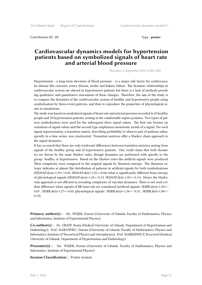Contribution ID : **21** Type : **poster**

#### **Cardiovascular dynamics models for hypertension patients based on symbolized signals of heart rate and arterial blood pressure**

*Thursday, 6 September 2018 15:00 (180)*

Hypertension - a long-term elevation of blood pressure - is a major risk factor for cardiovascular disease like coronary artery disease, stroke and kidney failure. The dynamic relationships in cardiovascular system are altered in hypertensive patients but there is a lack of methods providing qualitative and quantitative assessment of these changes. Therefore, the aim of the study is to compare the dynamics of the cardiovascular system of healthy and hypertensive people using symbolization by three-event-patterns, and then to reproduce the properties of physiological series in simulations.

The study was based on symbolized signals of heart rate and arterial pressure recorded in 25 healthy people and 38 hypertension patients, resting in the comfortable supine position. Two types of pattern symbolization were used for the subsequent three signal values. The first one focuses on variations of signal values and the second type emphasizes monotonic trends of a signal. For each signal representation, a transition matrix, describing probability to observe pair of patterns subsequently in a time series, was constructed. Transition matrices offer a Markov chain approach to the signal dynamics.

It has occurred that there are only irrelevant differences between transition matrices arising from signals of the healthy group and of hypertensive patients. One could claim that both dynamics are driven by the same Markov rules, though dynamics are performed with specific to the group: healthy or hypertensive. Based on the Markov rates the artificial signals were produced. Their complexity were compared to the original signals by Shannon entropy. The Shannon entropy indicates at almost flat distribution of patterns in artificial signals for both symbolizations (SE(MAP,dyn)=1.59+/-0.03, SE(MAP,det)=1.33+/-0.06) what is significantly different from entropy of physiological signals (SE(MAP,dyn)=1.24+/-0.13, SE(MAP,det)=1.02+/-0.11). Hence the Markovian approach is not efficient in revealing complexity of vascular dynamics. There is not such evident difference when signals of RR-intervals are considered (artificial signals: SE(RR,dyn)=1.50+/- 0.03 , SE(RR,det)=1.27+/-0.05, physiological signals: SE(RR,dyn)=1.34+/- 0.23 , SE(RR,det)=1.08+/- 0.19).

**Primary author(s) :** Ms. WEJER, Dorota (University of Gdańsk, Faculty of Mathematics, Physics and Informatics, Institute of Experimental Physics)

**Co-author(s) :** Dr. GRAFF, Beata (Medical University of Gdansk, Department of Hypertension and Diabetology); Prof. MAKOWIEC, Danuta (University of Gdansk, Faculty of Mathematics, Physics and Informatics, Institute of Theoretical Physics and Astrophysics); Prof. NARKIEWICZ, Krzysztof (Medical University of Gdansk, Department of Hypertension and Diabetology)

**Presenter(s) :** Ms. WEJER, Dorota (University of Gdańsk, Faculty of Mathematics, Physics and Informatics, Institute of Experimental Physics)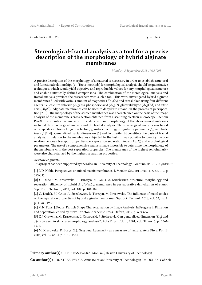Contribution ID : 23 Type : **talk** 

#### **Stereological-fractal analysis as a tool for a precise description of the morphology of hybrid alginate membranes**

*Monday, 3 September 2018 17:35 (20)*

A precise description of the morphology of a material is necessary in order to establish structural and functional relationships [1]. Tools (methods) for morphological analysis should be quantitative techniques, which would yield objective and reproducible values for any morphological structure and enable statistically defined comparisons. The combination of the stereological analysis and fractal analysis provides the researchers with such a tool. This work investigated hybrid alginate membranes filled with various amount of magnetite (*F e*3*O*4) and crosslinked using four different agents, i.e. calcium chloride (*AlgCa*), phosphoric acid (*AlgP*), glutaraldehyde (*AlgGA*) and citric acid (*AlgC*). Alginate membranes can be used to dehydrate ethanol in the process of pervaporation [2–3]. The morphology of the studied membranes was characterized on the basis of the image analysis of the membrane's cross-section obtained from a scanning electron microscope Phenom Pro-X. The quantitative analysis of the structure and morphology of the above-named materials included the stereological analysis and the fractal analysis. The stereological analysis was based on shape descriptors (elongation factor  $f_1$ , surface factor  $f_2$ , irregularity parameter  $f_3$ ) and bulkiness *f* [2, 4]. Generalized fractal dimension [5] and lacunarity [6] constitute the basis of fractal analysis. In relation to the membranes subjected to the tests, it was possible to identify the correlation between transport properties (pervaporation separation index (*P SI*)) and morphological parameters. The use of a comprehensive analysis made it possible to determine the morphology of the membrane with the best separation properties. The membranes of the highest self-similarity were also characterized by the highest separation properties.

Acknowledgments

This project has been supported by the Silesian University of Technology. Grant no. 04/040/RGJ18/0078

[1] R.D. Noble, Perspectives on mixed matrix membranes, J. Membr. Sci., 2011, vol. 378, no. 1-2, p. 393-397.

[2] G. Dudek, M. Krasowska, R. Turczyn, M. Gnus, A. Strzelewicz, Structure, morphology and separation efficiency of hybrid *Alg*/*F e*3*O*<sup>4</sup> membranes in pervaporative dehydration of etanol, Sep. Purif. Technol., 2017, vol. 182, p. 101-109.

[3] G. Dudek, M. Gnus, A. Strzelewicz, R. Turczyn, M. Krasowska, The influence of metal oxides on the separation properties of hybrid alginate membranes, Sep. Sci. Technol., 2018, vol. 53, no. 8, p. 1178-1190.

[4] M.N. Pons, J.Dodds, Particle Shape Characterization by Image Analysis, In Progress in Filtration and Separation, edited by Steve Tarleton, Academic Press, Oxford, 2015, p. 609-636.

[5] Z.J. Grzywna, M. Krasowska, L. Ostrowski, J. Stolarczyk, Can generalized dimension (*Dq*) and  $f(\alpha)$  be used in structure-morphology analysis?, Acta Phys. Pol. B, 2001, vol. 32, no. 5, p. 1561-1577.

[6] M. Krasowska, P. Borys, Z.J. Grzywna, Lacunarity as a measure of texture, Acta Phys. Pol. B, 2004, vol. 35 no. 4, p. 1519-1534.

Primary author(s): Dr. KRASOWSKA, Monika (Silesian University of Technology)

**Co-author(s) :** Dr. STRZELEWICZ, Anna (Silesian University of Technology); Dr. DUDEK, Gabriela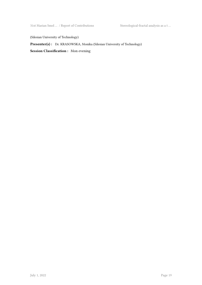31st Marian Smol … / Report of Contributions Stereological-fractal analysis as a t …

(Silesian University of Technology)

Presenter(s) : Dr. KRASOWSKA, Monika (Silesian University of Technology)

**Session Classification :** Mon evening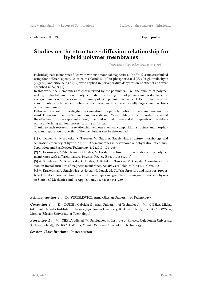Contribution ID : 24 Type : **poster** 

#### **Studies on the structure - diffusion relationship for hybrid polymer membranes**

*Thursday, 6 September 2018 15:00 (180)*

Hybrid alginate membranes filled with various amount of magnetite (*Alg*/*F e*3*O*4) and crosslinked using four different agents, i.e. calcium chloride (*AlgCa*), phosphoric acid (*AlgP*), glutaraldehyde (*AlgGA*) and citric acid (*AlgC*) were applied in pervaporative dehydration of ethanol and were described in paper [1].

In this work, the membranes are characterized by the parameters like: the amount of polymer matrix, the fractal dimension of polymer matrix, the average size of polymer matrix domains, the average number of obstacles in the proximity of each polymer matrix pixel. Determination of the above mentioned characteristics base on the image analysis of a sufficiently large cross – sections of the membranes.

Diffusive transport is investigated by simulation of a particle motion in the membrane environment. Diffusion driven by Gaussian random walk and L\'evy flights is shown in order to check if the effective diffusion exponent at long time limit is subdiffusive and if it depends on the details of the underlying random process causing diffusion.

Thanks to such research the relationship between chemical composition, structure and morphology, and separation properties of the membranes can be determined.

[1] G. Dudek, M. Krasowska, R. Turczyn, M. Gnus, A. Strzelewicz, Structure, morphology and separation efficiency of hybrid *Alg*/*F e*3*O*<sup>4</sup> membranes in pervaporative dehydration of ethanol, Separation and Purification Technology 182 (2017) 101–109

[2] M. Krasowska, A. Strzelewicz, G. Dudek, M. Cieśla, Structure-diffusion relationship of polymer membranes with different texture, Physical Review E 95, 012155 (2017)

[3] A. Strzelewicz M. Krasowska, G. Dudek, A. Rybak, R. Turczyn, M. Cie\'sla, Anomalous diffusion on fractal structure of magnetic membranes, ActaPhysicaPolonica B, 44 (2013) 955-965

[4] M. Krasowska, A. Strzelewicz , A. Rybak, G. Dudek, M. Cie\'sla, Structure and transport properties of ethylcellulose membranes with different types and granulation of magnetic powder, Physica A: Statistical Mechanics and its Applications, 452 (2016) 241–250

**Primary author(s) :** Dr. STRZELEWICZ, Anna (Silesian University of Technology)

**Co-author(s) :** Dr. DUDEK, Gabriela (Silesian University of Technology); Mr. CIESLA, Michal (M. Smoluchowski Institute of Physics, Jagiellonian University, Kraków, Poland); Dr. KRASOWSKA, Monika (Silesian University of Technology)

**Presenter(s) :** Mr. CIESLA, Michal (M. Smoluchowski Institute of Physics, Jagiellonian University, Kraków, Poland); Dr. KRASOWSKA, Monika (Silesian University of Technology)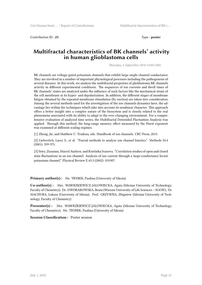Contribution ID : 25 Type : **poster** 

#### **Multifractal characteristics of BK channels' activity in human glioblastoma cells**

*Thursday, 6 September 2018 15:00 (180)*

BK channels are voltage-gated potassium channels that exhibit large single-channel conductance. They are involved in a number of important physiological processes including the pathogenesis of several diseases. In this work, we analyze the multifractal properties of glioblastoma BK channels activity in different experimental conditions. The sequences of ion currents and dwell times of BK channels' states are analyzed under the influence of such factors like the mechanical strain of the cell membrane at its hyper- and depolarization. In addition, the different stages of membrane fatigue obtained by the repeated membrane stimulation (by suction) are taken into consideration. Among the several methods used for the investigation of the ion channels dynamics here, the advantage lies within the techniques which take into account its nonlinear character. This approach offers a better insight into a complex nature of the biosystem and is closely related to the real phenomena associated with its ability to adapt to the ever-changing environment. For a comprehensive evaluation of analyzed time series, the Multifractal Detrended Fluctuation Analysis was applied. Through this method, the long-range memory effect measured by the Hurst exponent was examined at different scaling regimes.

[1] Zheng, Jie, and Matthew C. Trudeau, eds. Handbook of ion channels. CRC Press, 2015.

[2] Liebovitch, Larry S., et al. "Fractal methods to analyze ion channel kinetics." Methods 24.4 (2001): 359-375.

[3] Siwy, Zuzanna, Marcel Ausloos, and Kristinka Ivanova. "Correlation studies of open and closed state fluctuations in an ion channel: Analysis of ion current through a large-conductance locust potassium channel." Physical Review E 65.3 (2002): 031907.

**Primary author(s):** Ms. TRYBEK, Paulina (University of Silesia)

**Co-author(s) :** Mrs. WAWRZKIEWICZ-JALOWIECKA, Agata (Silesian University of Technology, Faculty of Chemistry); Dr. DWORAKOWSKA, Beata (Warsaw University of Life Sciences – SGGW); Dr. MACHURA, Lukasz (University of Silesia); Prof. GRZYWNA, Zbigniew (Silesian University of Technology, Faculty of Chemistry)

**Presenter(s) :** Mrs. WAWRZKIEWICZ-JALOWIECKA, Agata (Silesian University of Technology, Faculty of Chemistry); Ms. TRYBEK, Paulina (University of Silesia)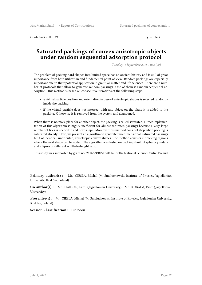Contribution ID : **27** Type : **talk**

#### **Saturated packings of convex anisotropic objects under random sequential adsorption protocol**

*Tuesday, 4 September 2018 11:45 (20)*

The problem of packing hard shapes into limited space has an ancient history and is still of great importance from both utilitarian and fundamental point of view. Random packings are especially important due to their potential application in granular matter and life sciences. There are a number of protocols that allow to generate random packings. One of them is random sequential adsorption. This method is based on consecutive iterations of the following steps:

- a virtual particle position and orientation in case of anisotropic shapes is selected randomly inside the packing;
- if the virtual particle does not intersect with any object on the plane it is added to the packing. Otherwise it is removed from the system and abandoned.

When there is no more place for another object, the packing is called saturated. Direct implementation of this algorithm is highly inefficient for almost saturated packings because a very large number of tries is needed to add next shape. Moreover this method does not stop when packing is saturated already. Here, we present an algorithm to generate two-dimensional, saturated packings built of identical, unoriented, anisotropic convex shapes. The method consists in tracking regions where the next shape can be added. The algorithm was tested on packings built of spherocylinders and ellipses of different width-to-height ratio.

This study was supported by grant no. 2016/23/B/ST3/01145 of the National Science Centre, Poland.

**Primary author(s) :** Mr. CIESLA, Michal (M. Smoluchowski Institute of Physics, Jagiellonian University, Kraków, Poland)

**Co-author(s) :** Mr. HAIDUK, Karol (Jagiellonian University); Mr. KUBALA, Piotr (Jagiellonian University)

**Presenter(s) :** Mr. CIESLA, Michal (M. Smoluchowski Institute of Physics, Jagiellonian University, Kraków, Poland)

**Session Classification :** Tue noon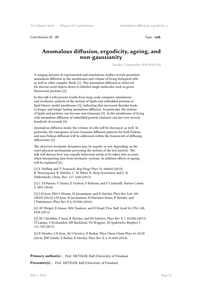Contribution ID : **29** Type : **talk**

#### **Anomalous diffusion, ergodicity, ageing, and non-gaussianity**

*Tuesday, 4 September 2018 09:00 (45)*

A surging amount of experimental and simulations studies reveals persistent anomalous diffusion in the membranes and volume of living biological cells as well as other complex fluids [1]. This anomalous diffusion is observed for micron-sized objects down to labelled single molecules such as green fluorescent proteins [2].

In this talk I will present results from large scale computer simulations and stochastic analysis of the motion of lipids and embedded proteins in lipid bilayer model membranes [3], indicating that increased disorder leads to longer and longer lasting anomalous diffusion. In particular, the motion of lipids and proteins can become non-Gaussian [3]. In the membranes of living cells anomalous diffusion of embedded protein channels can last over several hundreds of seconds [4].

Anomalous diffusion inside the volume of cells will be discussed, as well. In particular, the emergence of non-Gaussian diffusion patterns for both Fickian and non-Fickian diffusion will be addressed within the framework of diffusing diffusivities [5].

The observed stochastic dynamics may be ergodic or not, depending on the exact physical mechanisms governing the motion of the test particle. The talk will discuss how non-ergodic behaviour needs to be taken into account when interpreting data from stochastic systems. In addition effects of ageing will be explained [6].

[1] F. Hofling and T. Franosch, Rep Progr Phys 76, 046602 (2013); K. Noerregaard, R. Metzler, C. M. Ritter, K. Berg-Soerensen, and L. B. Oddershede, Chem. Rev. 117, 4342 (2017).

[2] C Di Rienzo, V Piazza, E Gratton, F Beltram, and F Cardarelli, Nature Comm 5, 5891 (2014).

[3] J-H Jeon, HM-S Monne, M Javanainen, and R Metzler, Phys Rev Lett 109, 188103 (2012); J-H Jeon, M Javanainen, H Martinez-Seara, R Metzler, and I Vattulainen, Phys Rev X 6, 021006 (2016).

[4] AV Weigel, B Simon, MM Tamkun, and D Krapf, Proc Natl Acad Sci USA 108, 6438 (2011).

[5] AV Chechkin, F Seno, R Metzler, and IM Sokolov, Phys Rev X 7, 021002 (2017); TJ Lampo, S Stylianidou, MP Backlund, PA Wiggins, AJ Spakowitz, Biophys J 112, 532 (2017).

[6] R Metzler, J-H Jeon, AG Cherstvy, E Barkai, Phys Chem Chem Phys 16 24128 (2014); JHP Schulz, E Barkai, R Metzler, Phys Rev X 4, 011028 (2014).

**Primary author(s) :** Prof. METZLER, Ralf (University of Potsdam)

**Presenter(s) :** Prof. METZLER, Ralf (University of Potsdam)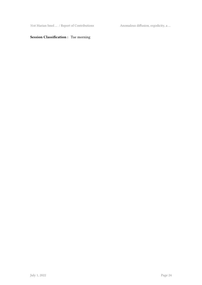31st Marian Smol  $\ldots$  / Report of Contributions Anomalous diffusion, ergodicity, a  $\ldots$ 

#### **Session Classification :** Tue morning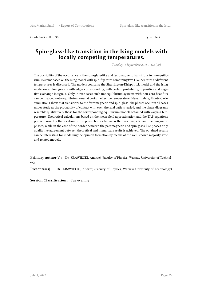Contribution ID : **30** Type : **talk**

### **Spin-glass-like transition in the Ising models with locally competing temperatures.**

*Tuesday, 4 September 2018 17:15 (20)*

The possibility of the occurrence of the spin-glass-like and ferromagnetic transitions in nonequilibrium systems based on the Ising model with spin-flip rates combining two Glauber rates at different temperatures is discussed. The models comprise the Sherrington-Kirkpatrick model and the Ising model onrandom graphs with edges corresponding, with certain probability, to positive and negative exchange integrals. Only in rare cases such nonequilibrium systems with non-zero heat flux can be mapped onto equilibrium ones at certain effective temperature. Nevertheless, Monte Carlo simulations show that transitions to the ferromagnetic and spin-glass-like phases occur in all cases under study as the probability of contact with each thermal bath is varied, and the phase diagrams resemble qualitatively those for the corresponding equilibrium models obtained with varying temperature. Theoretical calculations based on the mean-field approximation and the TAP equations predict correctly the location of the phase border between the paramagnetic and ferromagnetic phases, while in the case of the border between the paramagnetic and spin-glass-like phases only qualitative agreement between theoretical and numerical results is achieved. The obtained results can be interesting for modelling the opinion formation by means of the well-known majority-vote and related models.

**Primary author(s) :** Dr. KRAWIECKI, Andrzej (Faculty of Physics, Warsaw University of Technology)

**Presenter(s) :** Dr. KRAWIECKI, Andrzej (Faculty of Physics, Warsaw University of Technology)

**Session Classification :** Tue evening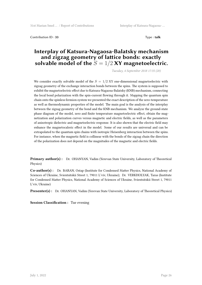Contribution ID : **33** Type : **talk**

#### **Interplay of Katsura-Nagaosa-Balatsky mechanism and zigzag geometry of lattice bonds: exactly** solvable model of the  $S = 1/2$  XY magnetoelectric.

*Tuesday, 4 September 2018 17:35 (20)*

We consider exactly solvable model of the  $S = 1/2$  XY one-dimensional magnetoelectric with zigzag geometry of the exchange interaction bonds between the spins. The system is supposed to exhibit the magnetoelectric effect due to Katsura-Nagaosa-Balatsky (KNB) mechanism, connecting the local bond polarization with the spin-current flowing through it. Mapping the quantum spin chain onto the spinless fermion system we presented the exact description of the zero-temperature as well as thermodynamic properties of the model. The main goal is the analysis of the interplay between the zigzag geometry of the bond and the KNB mechanism. We analyze the ground-state phase diagram of the model, zero and finite temperature magnetoelectric effect, obtain the magnetization and polarization curves versus magnetic and electric fields, as well as the parameters of anisotropic dielectric and magnetoelectric response. It is also shown that the electric field may enhance the magnetocaloric effect in the model. Some of our results are universal and can be extrapolated to the quantum spin chains with isotropic Heisenberg interaction between the spins. For instance, when the magnetic field is collinear with the bonds of the zigzag chain the direction of the polarization does not depend on the magnitudes of the magnetic and electric fields.

**Primary author(s) :** Dr. OHANYAN, Vadim (Yerevan State University, Laboratory of Theoretical Physics)

**Co-author(s) :** Dr. BARAN, Ostap (Institute for Condensed Matter Physics, National Academy of Sciences of Ukraine, Svientsitskii Street 1, 79011 L'viv, Ukraine); Dr. VERKHOLYAK, Taras (Institute for Condensed Matter Physics, National Academy of Sciences of Ukraine, Svientsitskii Street 1, 79011 L'viv, Ukraine)

**Presenter(s) :** Dr. OHANYAN, Vadim (Yerevan State University, Laboratory of Theoretical Physics)

**Session Classification :** Tue evening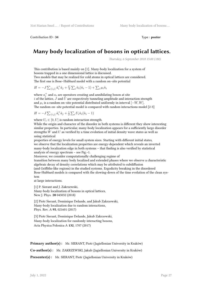Contribution ID : **34** Type : **poster** 

### **Many body localization of bosons in optical lattices.**

*Thursday, 6 September 2018 15:00 (180)*

This contribution is based mainly on [1]. Many-body localization for a system of bosons trapped in a one dimensional lattice is discussed. Two models that may be realized for cold atoms in optical lattices are considered. The first one is Bose–Hubbard model with a random on–site potential

$$
H = -J\sum_{\langle i,j\rangle} \hat{a}_i^{\dagger} \hat{a}_j + \frac{U}{2} \sum_i \hat{n}_i (\hat{n}_i - 1) + \sum_i \mu_i \hat{n}_i
$$

where  $a_i^+$  and  $a_i$  are operators creating and annihilating boson at site *i* of the lattice, *J* and *U* are respectively tunneling amplitude and interaction strength and  $\mu_i$  is a random on–site potential distributed uniformly in interval  $[-W, W]$ . The random on–site potential model is compared with random interactions model [2-3]

$$
H = -J\sum_{\langle i,j\rangle} \hat{a}_i^+\hat{a}_j + \frac{1}{2}\sum_i U_i \hat{n}_i (\hat{n}_i - 1)
$$

where  $U_i \in [0, U]$  is random interaction strength.

While the origin and character of the disorder in both systems is different they show interesting similar properties. In particular, many-body localization appears for a sufficiently large disorder strengths *W* and *U* as verified by a time evolution of initial density wave states as well as using statistical

properties of energy levels for small system sizes. Starting with different initial states, we observe that the localization properties are energy-dependent which reveals an inverted many-body localization edge in both systems – that finding is also verified by statistical analysis of energy spectrum – see Fig.~1.

Moreover, we consider computationally challenging regime of

transition between many body localized and extended phases where we observe a characteristic algebraic decay of density correlations which may be attributed to subdiffusion

(and Griffiths-like regions) in the studied systems. Ergodicity breaking in the disordered Bose-Hubbard models is compared with the slowing-down of the time evolution of the clean system

at large interactions.

[1] P. Sierant and J. Zakrzewski, Many-body localization of bosons in optical lattices, New J. Phys. **20** 043032 (2018)

[2] Piotr Sierant, Dominique Delande, and Jakub Zakrzewski, Many-body localization due to random interactions, Phys. Rev. A **95**, 021601 (2017)

[3] Piotr Sierant, Dominique Delande, Jakub Zakrzewski, Many-body localization for randomly interacting bosons, Acta Physica Polonica A **132**, 1707 (2017)

**Primary author(s) :** Mr. SIERANT, Piotr (Jagiellonian University in Kraków)

**Co-author(s) :** Mr. ZAKRZEWSKI, Jakub (Jagiellonian University in Kraków)

**Presenter(s) :** Mr. SIERANT, Piotr (Jagiellonian University in Kraków)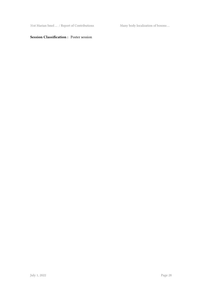$31$ st Marian Smol $\ldots$  / Report of Contributions Many body localization of bosons  $\ldots$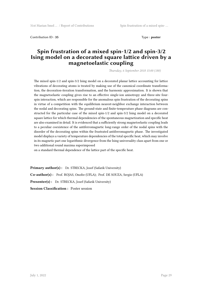Contribution ID : **35** Type : **poster** 

#### **Spin frustration of a mixed spin-1/2 and spin-3/2 Ising model on a decorated square lattice driven by a magnetoelastic coupling**

*Thursday, 6 September 2018 15:00 (180)*

The mixed spin-1/2 and spin-3/2 Ising model on a decorated planar lattice accounting for lattice vibrations of decorating atoms is treated by making use of the canonical coordinate transformation, the decoration-iteration transformation, and the harmonic approximation. It is shown that the magnetoelastic coupling gives rise to an effective single-ion anisotropy and three-site fourspin interaction, which are responsible for the anomalous spin frustration of the decorating spins in virtue of a competition with the equilibrium nearest-neighbor exchange interaction between the nodal and decorating spins. The ground-state and finite-temperature phase diagrams are constructed for the particular case of the mixed spin-1/2 and spin-3/2 Ising model on a decorated square lattice for which thermal dependencies of the spontaneous magnetization and specific heat are also examined in detail. It is evidenced that a sufficiently strong magnetoelastic coupling leads to a peculiar coexistence of the antiferromagnetic long-range order of the nodal spins with the disorder of the decorating spins within the frustrated antiferromagnetic phase. The investigated model displays a variety of temperature dependencies of the total specific heat, which may involve in its magnetic part one logarithmic divergence from the Ising universality class apart from one or two additional round maxima superimposed

on a standard thermal dependence of the lattice part of the specific heat.

Primary author(s): Dr. STRECKA, Jozef (Safarik University) **Co-author(s) :** Prof. ROJAS, Onofre (UFLA); Prof. DE SOUZA, Sergio (UFLA) Presenter(s) : Dr. STRECKA, Jozef (Safarik University) **Session Classification :** Poster session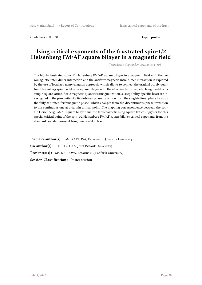Contribution ID: 37 Type : **poster** 

#### **Ising critical exponents of the frustrated spin-1/2 Heisenberg FM/AF square bilayer in a magnetic field**

*Thursday, 6 September 2018 15:00 (180)*

The highly frustrated spin-1/2 Heisenberg FM/AF square bilayer in a magnetic field with the ferromagnetic inter-dimer interaction and the antiferromagnetic intra-dimer interaction is explored by the use of localized many-magnon approach, which allows to connect the original purely quantum Heisenberg spin model on a square bilayer with the effective ferromagnetic Ising model on a simple square lattice. Basic magnetic quantities (magnetization, susceptibility, specific heat) are investigated in the proximity of a field-driven phase transition from the singlet-dimer phase towards the fully saturated ferromagnetic phase, which changes from the discontinuous phase transition to the continuous one at a certain critical point. The mapping correspondence between the spin-1/2 Heisenberg FM/AF square bilayer and the ferromagnetic Ising square lattice suggests for this special critical point of the spin-1/2 Heisenberg FM/AF square bilayer critical exponents from the standard two-dimensional Ising universality class.

Primary author(s): Ms. KARLOVA, Katarina (P. J. Safarik University) **Co-author(s) :** Dr. STRECKA, Jozef (Safarik University) **Presenter(s) :** Ms. KARLOVA, Katarina (P. J. Safarik University) **Session Classification :** Poster session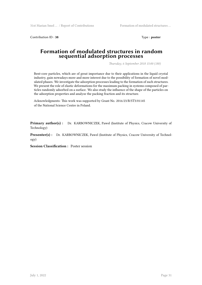Contribution ID: 38 Type : **poster** 

#### **Formation of modulated structures in random sequential adsorption processes**

*Thursday, 6 September 2018 15:00 (180)*

Bent-core particles, which are of great importance due to their applications in the liquid crystal industry, gain nowadays more and more interest due to the possibility of formation of novel modulated phases. We investigate the adsorption processes leading to the formation of such structures. We present the role of elastic deformations for the maximum packing in systems composed of particles randomly adsorbed on a surface. We also study the influence of the shape of the particles on the adsorption properties and analyze the packing fraction and its structure.

Acknowledgments: This work was supported by Grant No. 2016/23/B/ST3/01145 of the National Science Centre in Poland.

**Primary author(s) :** Dr. KARBOWNICZEK, Pawel (Institute of Physics, Cracow University of Technology)

**Presenter(s) :** Dr. KARBOWNICZEK, Pawel (Institute of Physics, Cracow University of Technology)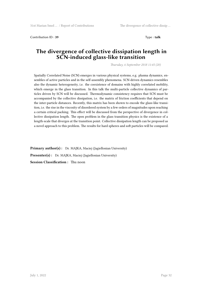Contribution ID: 39 Type: **talk** 

#### **The divergence of collective dissipation length in SCN-induced glass-like transition**

*Thursday, 6 September 2018 11:45 (20)*

Spatially Correlated Noise (SCN) emerges in various physical systems, e.g. plasma dynamics, ensembles of active particles and in the self-assembly phenomena. SCN-driven dynamics resembles also the dynamic heterogeneity, i.e. the coexistence of domains with highly correlated mobility, which emerge in the glass transition. In this talk the multi-particle collective dynamics of particles driven by SCN will be discussed. Thermodynamic consistency requires that SCN must be accompanied by the collective dissipation, i.e. the matrix of friction coefficients that depend on the inter-particle distances. Recently, this matrix has been shown to encode the glass-like transition, i.e. the rise in the viscosity of disordered system by a few orders of magnitudes upon reaching a certain critical packing. This effect will be discussed from the perspective of divergence in collective dissipation length. The open problem in the glass transition physics is the existence of a length-scale that diverges at the transition point. Collective dissipation length can be proposed as a novel approach to this problem. The results for hard spheres and soft particles will be compared.

**Primary author(s):** Dr. MAJKA, Maciej (Jagiellonian University) **Presenter(s) :** Dr. MAJKA, Maciej (Jagiellonian University) **Session Classification :** Thu noon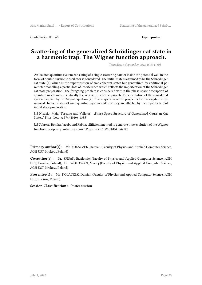Contribution ID : 40 **Type : poster** 

#### **Scattering of the generalized Schrödinger cat state in a harmonic trap. The Wigner function approach.**

*Thursday, 6 September 2018 15:00 (180)*

An isolated quantum system consisting of a single scattering barrier inside the potential well in the form of double harmonic oscillator is considered. The initial state is assumed to be the Schrödinger cat state [1] which is the superposition of two coherent states but generalized by additional parameter modelling a partial loss of interference which reflects the imperfection of the Schrödinger cat state preparation. The foregoing problem is considered within the phase space description of quantum mechanics, specifically the Wigner function approach. Time evolution of the considered system is given by the Moyal equation [2]. The major aim of the project is to investigate the dynamical characteristics of such quantum system and how they are affected by the imperfection of initial state preparation.

[1] Nicacio, Maia, Toscano and Vallejos. "Phase Space Structure of Generalized Gaussian Cat States." Phys. Lett. A 374 (2010): 4385

[2] Cabrera, Bondar, Jacobs and Rabitz. "Efficient method to generate time evolution of the Wigner function for open quantum systems." Phys. Rev. A 92 (2015): 042122

**Primary author(s) :** Mr. KOLACZEK, Damian (Faculty of Physics and Applied Computer Science, AGH UST, Kraków, Poland)

**Co-author(s) :** Dr. SPISAK, Bartłomiej (Faculty of Physics and Applied Computer Science, AGH UST, Kraków, Poland); Dr. WOŁOSZYN, Maciej (Faculty of Physics and Applied Computer Science, AGH UST, Kraków, Poland)

**Presenter(s) :** Mr. KOLACZEK, Damian (Faculty of Physics and Applied Computer Science, AGH UST, Kraków, Poland)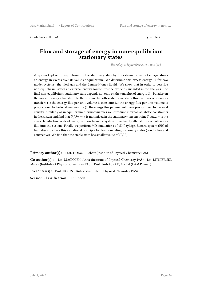Contribution ID : **41** Type : **talk**

#### **Flux and storage of energy in non-equilibrium stationary states**

*Thursday, 6 September 2018 11:00 (45)*

A system kept out of equilibrium in the stationary state by the external source of energy stores an energy in excess over its value at equilibrium. We determine this excess energy, *U* for two model systems: the ideal gas and the Lennard-Jones liquid. We show that in order to describe non-equilibirum states an external energy source must be explicitly included in the analysis. The final non-equilibrium, stationary state depends not only on the total flux of energy,  $J_U$ , but also on the mode of energy transfer into the system. In both systems we study three scenarios of energy transfer: (1) the energy flux per unit volume is constant; (2) the energy flux per unit volume is proportional to the local temperature (3) the energy flux per unit volume is proportional to the local density. Similarly as in equilibrium thermodynamics we introduce internal, adiabatic constraints in the system and find that  $U/J_U = \tau$  is minimized in the stationary (unconstrained) state.  $\tau$  is the characteristic time scale of energy outflow from the system immediately after shut-down of energy flux into the system. Finally we perform MD simulations of 2D Rayleigh-Benard system (RB) of hard discs to check this variational principle for two competing stationary states (conductive and convective). We find that the stable state has smaller value of  $U/J_U$ .

**Primary author(s):** Prof. HOLYST, Robert (Institute of Physical Chemistry PAS)

**Co-author(s) :** Dr. MACIOLEK, Anna (Institute of Physical Chemistry PAS); Dr. LITNIEWSKI, Marek (Institute of Physical Chemistry PAS); Prof. BANASZAK, Michal (UAM Poznan)

**Presenter(s) :** Prof. HOLYST, Robert (Institute of Physical Chemistry PAS)

**Session Classification :** Thu noon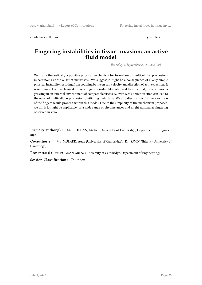Contribution ID: 42 Type : **talk** 

#### **Fingering instabilities in tissue invasion: an active fluid model**

*Thursday, 6 September 2018 12:05 (20)*

We study theoretically a possible physical mechanism for formation of multicellular protrusions in carcinoma at the onset of metastasis. We suggest it might be a consequence of a very simple physical instability resulting from coupling between cell velocity and direction of active traction. It is reminiscent of the classical viscous fingering instability. We use it to show that, for a carcinoma growing in an external environment of comparable viscosity, even weak active traction can lead to the onset of multicellular protrusions, initiating metastasis. We also discuss how further evolution of the fingers would proceed within this model. Due to the simplicity of the mechanism proposed, we think it might be applicable for a wide range of circumstances and might rationalize fingering observed in vivo.

**Primary author(s) :** Mr. BOGDAN, Michal (University of Cambridge, Department of Engineering)

**Co-author(s) :** Ms. MULARD, Aude (University of Cambridge); Dr. SAVIN, Thierry (University of Cambridge)

**Presenter(s) :** Mr. BOGDAN, Michal (University of Cambridge, Department of Engineering)

**Session Classification :** Thu noon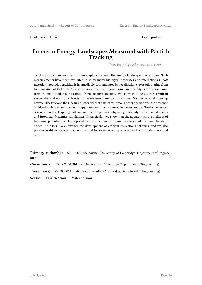Contribution ID: 43 Type : **poster** 

#### **Errors in Energy Landscapes Measured with Particle Tracking**

*Thursday, 6 September 2018 15:00 (180)*

Tracking Brownian particles is often employed to map the energy landscape they explore. Such measurements have been exploited to study many biological processes and interactions in soft materials. Yet video tracking is irremediably contaminated by localization errors originating from two imaging artifacts: the "static" errors come from signal noise, and the "dynamic" errors arise from the motion blur due to finite frame-acquisition time. We show that these errors result in systematic and nontrivial biases in the measured energy landscapes. We derive a relationship between the true and the measured potential that elucidates, among other aberrations, the presence of false double-well minima in the apparent potentials reported in recent studies. We further assess several canonical trapping and pair-interaction potentials by using our analytically derived results and Brownian dynamics simulations. In particular, we show that the apparent spring stiffness of harmonic potentials (such as optical traps) is increased by dynamic errors but decreased by static errors. Our formula allows for the development of efficient corrections schemes, and we also present in this work a provisional method for reconstructing true potentials from the measured ones.

**Primary author(s) :** Mr. BOGDAN, Michal (University of Cambridge, Department of Engineering)

**Co-author(s) :** Dr. SAVIN, Thierry (University of Cambridge, Department of Engineering)

**Presenter(s) :** Mr. BOGDAN, Michal (University of Cambridge, Department of Engineering)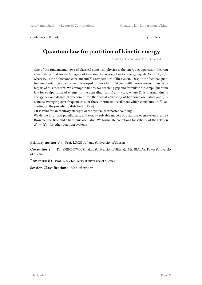Contribution ID : **44** Type : **talk**

### **Quantum law for partition of kinetic energy**

*Monday, 3 September 2018 14:30 (45)*

One of the fundamental laws of classical statistical physics is the energy equipartition theorem which states that for each degree of freedom the average kinetic energy equals  $E_k = k_B T/2$ , where  $k_B$  is the Boltzmann constant and  $T$  is temperature of the system. Despite the fact that quantum mechanics has already been developed for more than 100 years still there is no quantum counterpart of this theorem. We attempt to fill this far-reaching gap and formulate the \emph{quantum law for equipartition of energy} in the appealing form  $E_k = \langle \mathcal{E}_k \rangle$ , where  $\mathcal{E}_k$  is thermal kinetic energy per one degree of freedom of the thermostat consisting of harmonic oscillators and *⟨...⟩* denotes averaging over frequencies *ω* of those thermostat oscillators which contribute to *E<sup>k</sup>* according to the probability distribution  $\mathbb{P}(\omega)$ .

%It is valid for an arbitrary strength of the system-thermostat coupling.

We derive it for two paradigmatic and exactly solvable models of quantum open systems: a free Brownian particle and a harmonic oscillator. We formulate conditions for validity of the relation  $E_k = \langle \mathcal{E}_k \rangle$  for other quantum systems.

Primary author(s): Prof. LUCZKA, Jerzy (University of Silesia)

**Co-author(s) :** Dr. SPIECHOWICZ, Jakub (University of Silesia); Mr. BIALAS, Paweł (University of Silesia)

**Presenter(s) :** Prof. LUCZKA, Jerzy (University of Silesia)

**Session Classification :** Mon afternoon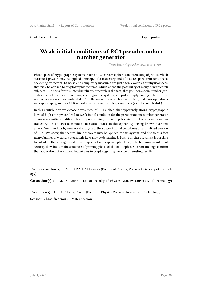Contribution ID : **45** Type : **poster**

#### **Weak initial conditions of RC4 pseudorandom number generator**

*Thursday, 6 September 2018 15:00 (180)*

Phase space of cryptographic systems, such as RC4 stream cipher is an interesting object, to which statistical physics may be applied. Entropy of a trajectory and of a state space, transient phase, coexisting attractors, 1/f noise and complexity measures are just a few examples of physical ideas, that may be applied to cryptographic systems, which opens the possibility of many new research subjects. The basis for this interdisciplinary research is the fact, that pseudorandom number generators, which form a core of many cryptographic systems, are just strongly mixing deterministic nonlinear systems in a chaotic state. And the main difference lays in the fact, that basic operations in cryptography, such as XOR operator are in space of integer numbers (as in Bernoulli shift).

In this contribution we expose a weakness of RC4 cipher: that apparently strong cryptographic keys of high entropy can lead to weak initial condition for the pseudorandom number generator. These weak initial conditions lead to poor mixing in the long transient part of a pseudorandom trajectory. This allows to mount a successful attack on this cipher, e.g. using known plaintext attack. We show this by numerical analysis of the space of initial conditions of a simplified version of RC4. We show, that central limit theorem may be applied to this system, and due to this fact many families of weak cryptographic keys may be determined. Basing on these results it is possible to calculate the average weakness of space of all cryptographic keys, which shows an inherent security flaw, built in the structure of priming phase of the RC4 cipher. Current findings confirm that application of nonlinear techniques in cryptology may provide interesting results.

**Primary author(s) :** Mr. KUBAŃ, Aleksander (Faculty of Physics, Warsaw University of Technology)

**Co-author(s) :** Dr. BUCHNER, Teodor (Faculty of Physics, Warsaw University of Technology)

Presenter(s): Dr. BUCHNER, Teodor (Faculty of Physics, Warsaw University of Technology)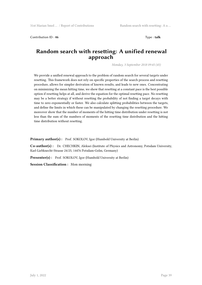Contribution ID : **46** Type : **talk**

#### **Random search with resetting: A unified renewal approach**

*Monday, 3 September 2018 09:45 (45)*

We provide a unified renewal approach to the problem of random search for several targets under resetting. This framework does not rely on specific properties of the search process and resetting procedure, allows for simpler derivation of known results, and leads to new ones. Concentrating on minimizing the mean hitting time, we show that resetting at a constant pace is the best possible option if resetting helps at all, and derive the equation for the optimal resetting pace. No resetting may be a better strategy if without resetting the probability of not finding a target decays with time to zero exponentially or faster. We also calculate splitting probabilities between the targets, and define the limits in which these can be manipulated by changing the resetting procedure. We moreover show that the number of moments of the hitting time distribution under resetting is not less than the sum of the numbers of moments of the resetting time distribution and the hitting time distribution without resetting.

Primary author(s): Prof. SOKOLOV, Igor (Humbold University at Berlin)

**Co-author(s) :** Dr. CHECHKIN, Aleksei (Institute of Physics and Astronomy, Potsdam University, Karl-Liebknecht-Strasse 24/25, 14476 Potsdam-Golm, Germany)

Presenter(s) : Prof. SOKOLOV, Igor (Humbold University at Berlin)

**Session Classification :** Mon morning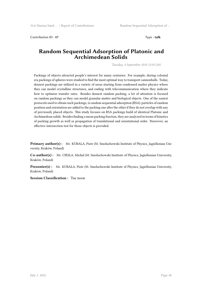Contribution ID : **47** Type : **talk**

#### **Random Sequential Adsorption of Platonic and Archimedean Solids**

*Tuesday, 4 September 2018 12:05 (20)*

Packings of objects attracted people's interest for many centuries. For example, during colonial era packings of spheres were studied to find the most optimal way to transport cannonballs. Today, densest packings are utilized in a variety of areas starting from condensed matter physics where they can model crystalline structures, and ending with telecommunication where they indicate how to optimize transfer rates. Besides densest random packing, a lot of attention is focused on random packings as they can model granular matter and biological objects. One of the easiest protocols used to obtain such packings, is random sequential adsorption (RSA): particles of random position and orientation are added to the packing one after the other if they do not overlap with any of previously placed objects. This study focuses on RSA packings build of identical Platonic and Archimedean solids. Besides finding a mean packing fraction, they are analyzed in terms of kinetics of packing growth as well as propagation of translational and orientational order. Moreover, an effective intersection test for those objects is provided.

**Primary author(s):** Mr. KUBALA, Piotr (M. Smoluchowski Institute of Physics, Jagiellonian University, Kraków, Poland)

**Co-author(s) :** Mr. CIESLA, Michal (M. Smoluchowski Institute of Physics, Jagiellonian University, Kraków, Poland)

**Presenter(s) :** Mr. KUBALA, Piotr (M. Smoluchowski Institute of Physics, Jagiellonian University, Kraków, Poland)

**Session Classification :** Tue noon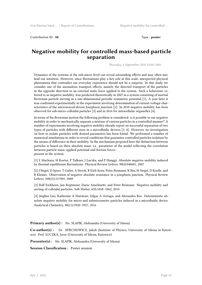Contribution ID : **48** Type : **poster** 

#### **Negative mobility for controlled mass-based particle separation**

*Thursday, 6 September 2018 15:00 (180)*

Dynamics of the systems at the sub-micro level can reveal astounding effects and may often mislead our intuition. However, since fluctuations play a key role at this scale, unexpected physical phenomena that contradict our everyday experience should not be a surprise. In this study we consider one of the anomalous transport effects, namely the directed transport of the particles in the opposite direction to an external static force applied to the system. Such a behaviour, referred to as negative mobility, was predicted theoretically in 2007 in a system consisting of inertial Brownian particle moving in a one-dimensional periodic symmetric potential [1]. A year later it was confirmed experimentally in the experiment involving determination of current-voltage characteristics of the microwaved-driven Josephson junction [2]. In 2010 negative mobility has been observed for sub-micro colloidal particles [3] and in 2016 for intracellular organelles [4].

In terms of the Brownian motion the following problem is considered: is it possible to use negative mobility in order to mechanically separate a mixture of various particles in a controlled manner? A number of experiments involving negative mobility already report on successful separation of two types of particles with different sizes in a microfluidic devices [3, 4]. However, no investigation on how to isolate particles with desired parameters has been found. We performed a number of numerical simulations in order to reveal conditions that guarantee controlled particles isolation by the means of difference in their mobility. In the mechanism proposed here the distinction between particles is based on their absolute mass, i.e. parameter of the model reflecting the correlation between particle mass, applied potential and friction forces present in the system.

[1] L Machura, M Kostur, P Talkner, J Luczka, and P Hanggi. Absolute negative mobility induced by thermal equilibrium fluctuations. Physical Review Letters, 98(4):040601, 2007

[2] J Nagel, D Speer, T Gaber, A Sterck, R Eich-horn, Peter Reimann, K Ilin, M Siegel, D Koelle, and R Kleiner. Observation of negative absolute resistance in a josephson junction. Physical Review Letters, 100(21):217001, 2008

[3] Ralf Eichhorn, Jan Regtmeier, Dario Anselmetti, and Peter Reimann. Negative mobility and sorting of colloidal particles. Soft Matter, 6(9):1858–1862, 2010.

[4] Jinghui Luo, Katherine A Muratore, Edgar A Arriaga, and Alexandra Ros. Deterministic absolute negative mobility for micro-and submicrometer particles induced in a microfluidic device. Analytical Chemistry, 88(11):5920–5927, 2016

**Primary author(s):** Ms. SLAPIK, Aleksandra (University of Silesia)

**Co-author(s) :** Dr. SPIECHOWICZ, Jakub (Institute of Physics, University of Silesia in Katowice); Prof. ŁUCZKA, Jerzy (University of Silesia, Katowice)

**Presenter(s) :** Ms. SLAPIK, Aleksandra (University of Silesia)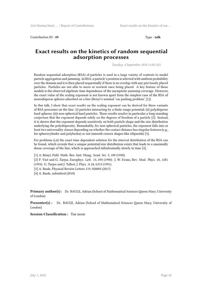Contribution ID : **49** Type : **talk**

#### **Exact results on the kinetics of random sequential adsorption processes**

*Tuesday, 4 September 2018 11:00 (45)*

Random sequential adsorption (RSA) of particles is used in a large variety of contexts to model particle aggregation and jamming. In RSA, a particle's position is selected with uniform probability over the domain and it is then placed sequentially if there is no overlap with any previously placed particles. Particles are not able to move or reorient once being placed. A key feature of these models is the observed algebraic time dependence of the asymptotic jamming coverage. However, the exact value of the scaling exponent is not known apart from the simplest case of the RSA of monodisperse spheres adsorbed on a line (Renyi's seminal 'car parking problem' [1]).

In this talk, I show that exact results on the scaling exponent can be derived for three variants of RSA processes on the line: (i) particles interacting by a finite-range potential; (ii) polydisperse hard spheres; (iii) non-spherical hard particles. These results resolve in particular a long-standing conjecture that the exponent depends solely on the degrees of freedom of a particle [2]. Instead, it is shown that the exponent depends sensitively on both particle shape and the size distribution underlying the polydispersity. Remarkably, for non-spherical particles, the exponent falls into at least two universality classes depending on whether the contact distance has singular features (e.g., for spherocylinder and polyhedra) or not (smooth convex shapes like ellipsoids) [3].

For problems (i,ii) the exact time dependent solution for the interval distribution of the RSA can be found, which reveals that a unique potential/size distribution exists that leads to a maximally dense coverage of the line, which is approached infinitesimally slowly in time [4].

[1] A. Rényi, Publ. Math. Res. Inst. Hung. Acad. Sci. 3, 109 (1958).

[2] P. Viot and G. Tarjus, Europhys. Lett. 13, 295 (1990). J. W. Evans, Rev. Mod. Phys. 65, 1281 (1993). G. Tarjus and J. Talbot, J. Phys. A 24, L913 (1991).

- [3] A. Baule, Physical Review Letters 119, 028003 (2017)
- [4] A. Baule, submitted (2018)

**Primary author(s) :** Dr. BAULE, Adrian (School of Mathematical Sciences Queen Mary, University of London)

**Presenter(s) :** Dr. BAULE, Adrian (School of Mathematical Sciences Queen Mary, University of London)

**Session Classification :** Tue noon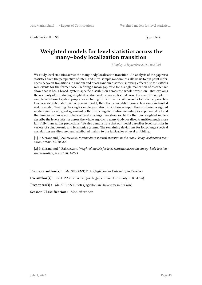Contribution ID : **50** Type : **talk** 

#### **Weighted models for level statistics across the many–body localization transition**

*Monday, 3 September 2018 15:35 (20)*

We study level statistics across the many-body localization transition. An analysis of the gap ratio statistics from the perspective of inter- and intra-sample randomness allows us to pin point differences between transitions in random and quasi-random disorder, showing effects due to Griffiths rare events for the former case. Defining a mean gap ratio for a single realization of disorder we show that it has a broad, system specific distribution across the whole transition. That explains the necessity of introducing weighted random matrix ensembles that correctly grasp the sample-tosample variation of system properties including the rare events. We consider two such approaches. One is a weighted short-range plasma model, the other a weighted power–law random banded matrix model. Treating the single sample gap ratio distribution as input, the considered weighted models yield a very good agreement both for spacing distribution including its exponential tail and the number variance up to tens of level spacings. We show explicitly that our weighted models describe the level statistics across the whole ergodic to many-body localized transition much more faithfully than earlier predictions. We also demonstrate that our model describes level statistics in variety of spin, bosonic and fermionic systems. The remaining deviations for long-range spectral correlations are discussed and attributed mainly to the intricacies of level unfolding.

[1] P. Sierant and J. Zakrzewski, *Intermediate spectral statistics in the many–body localization transition*, arXiv:1807.06983

[2] P. Sierant and J. Zakrzewski, *Weighted models for level statistics across the many–body localization transition*, arXiv:1808.02795

**Primary author(s) :** Mr. SIERANT, Piotr (Jagiellonian University in Kraków)

**Co-author(s) :** Prof. ZAKRZEWSKI, Jakub (Jagiellonian University in Kraków)

**Presenter(s) :** Mr. SIERANT, Piotr (Jagiellonian University in Kraków)

**Session Classification :** Mon afternoon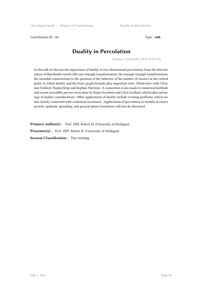Contribution ID : **51** Type : **talk**

# **Duality in Percolation**

*Tuesday, 4 September 2018 16:30 (45)*

In this talk we discuss the importance of duality in two-dimensional percolation, from the determination of thresholds exactly (the star-triangle transformation, the triangle-triangle transformation, the isoradial construction) to the question of the behavior of the number of clusters at the critical point, in which duality and the Euler graph formula play important roles. (Work here with Christian Scullard, Youjin Deng and Stephan Mertens). A connection is also made to numerical methods and recent incredibly precise work done by Jesper Jacobsen and Chris Scullard, which takes advantage of duality considerations. Other applications of duality include crossing problems, which are also closely connected with conformal invariance. Applications of percolation to models of cancer growth, epidemic spreading, and general phase transitions will also be discussed.

Primary author(s) : Prof. ZIFF, Robert M. (University of Michigan)

**Presenter(s) :** Prof. ZIFF, Robert M. (University of Michigan)

**Session Classification :** Tue evening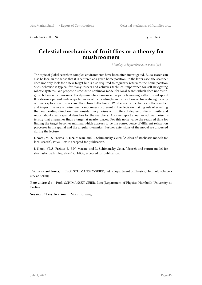Contribution ID : **52** Type : **talk** 

#### **Celestial mechanics of fruit flies or a theory for mushroomers**

*Monday, 3 September 2018 09:00 (45)*

The topic of global search in complex environments have been often investigated. But a search can also be local in the sense that it is centered at a given home position. In the latter case, the searcher does not only look for a new target but is also required to regularly return to the home position. Such behavior is typical for many insects and achieves technical importance for self-navigating robotic systems. We propose a stochastic nonlinear model for local search which does not distinguish between the two aims. The dynamics bases on an active particle moving with constant speed. It performs a pursuit and escape behavior of the heading from the position vector realizing thereby optimal exploration of space and the return to the home. We discuss the mechanics of the searcher and inspect the role of noise. Such randomness is present in the decision making rule of selecting the new heading direction. We consider Levy noises with different degree of discontinuity and report about steady spatial densities for the searchers. Also we report about an optimal noise intensity that a searcher finds a target at nearby places. For this noise value the required time for finding the target becomes minimal which appears to be the consequence of different relaxation processes in the spatial and the angular dynamics. Further extensions of the model are discussed during the lecture.

J. Nötel, V.L.S. Freitas, E. E.N. Macau, and L. Schimansky-Geier, "A class of stochastic models for local search", Phys. Rev. E accepted for publication.

J. Nötel, V.L.S. Freitas, E. E.N. Macau, and L. Schimansky-Geier, "Search and return model for stochastic path integrators", CHAOS, accepted for publication.

**Primary author(s) :** Prof. SCHIMANSKY-GEIER, Lutz (Department of Physics, Humboldt-University at Berlin)

**Presenter(s) :** Prof. SCHIMANSKY-GEIER, Lutz (Department of Physics, Humboldt-University at Berlin)

**Session Classification :** Mon morning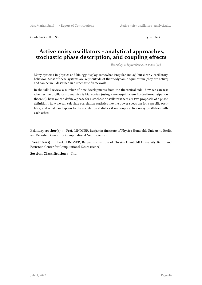Contribution ID : **53** Type : **talk**

#### **Active noisy oscillators - analytical approaches, stochastic phase description, and coupling effects**

*Thursday, 6 September 2018 09:00 (45)*

Many systems in physics and biology display somewhat irregular (noisy) but clearly oscillatory behavior. Most of these systems are kept outside of thermodynamic equilibrium (they are active) and can be well described in a stochastic framework.

In the talk I review a number of new developments from the theoretical side: how we can test whether the oscillator's dynamics is Markovian (using a non-equilibrium fluctuation-dissipation theorem), how we can define a phase for a stochastic oscillator (there are two proposals of a phase definition), how we can calculate correlation statistics like the power spectrum for a specific oscillator, and what can happen to the correlation statistics if we couple active noisy oscillators with each other.

Primary author(s) : Prof. LINDNER, Benjamin (Institute of Physics Humboldt University Berlin and Bernstein Center for Computational Neuroscience)

**Presenter(s) :** Prof. LINDNER, Benjamin (Institute of Physics Humboldt University Berlin and Bernstein Center for Computational Neuroscience)

**Session Classification :** Thu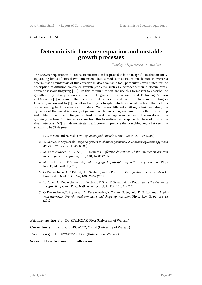Contribution ID : **54** Type : **talk**

#### **Deterministic Loewner equation and unstable growth processes**

*Tuesday, 4 September 2018 15:15 (45)*

The Loewner equation in its stochastic incarnation has proved to be an insightful method in studying scaling limits of critical two-dimensional lattice models in statistical mechanics. However, a deterministic counterpart of this equation is also a valuable tool, particularly well-suited for the description of diffusion-controlled growth problems, such as electrodeposition, dielectric breakdown or viscous fingering [1-3]. In this communication, we use this formalism to describe the growth of finger-like protrusions driven by the gradient of a harmonic field. Following Carleson and Makarov [1] we assume that the growth takes place only at the tips of long-and-thin fingers. However, in contrast to [1], we allow the fingers to split, which is crucial to obtain the patterns corresponding to those observed in nature. We discuss different splitting criteria and study the dynamics of the model in variety of geometries. In particular, we demonstrate that tip-splitting instability of the growing fingers can lead to the stable, regular movement of the envelope of the growing structure [4]. Finally, we show how this formalism can be applied to the evolution of the river networks [5-7] and demonstrate that it correctly predicts the branching angle between the streams to be 72 degrees.

- 1. L. Carleson and N. Makarov, *Laplacian path models*, J. Anal. Math. **87**, 103 (2002)
- 2. T. Gubiec, P. Szymczak, *Fingered growth in channel geometry: A Loewner equation approach* ,Phys. Rev. E, **77** , 041602 (2008)
- 3. M. Pecelerowicz, A. Budek, P. Szymczak, *Effective description of the interaction between anisotropic viscous fingers*, EPL, **108**, 14001 (2014)
- 4. M. Pecelerowicz, P. Szymczak, *Stabilizing effect of tip-splitting on the interface motion*, Phys. Rev. E, **94**, 062801 (2016)
- 5. O. Devauchelle, A. P. Petroff, H. F. Seybold, and D. Rothman, *Ramification of stream networks*, Proc. Natl. Acad. Sci. USA, **109**, 20832 (2012)
- 6. Y. Cohen, O. Devauchelle, H. F. Seybold, R. S. Yi, P. Szymczak, D. Rothman, *Path selection in the growth of rivers*, Proc. Natl. Acad. Sci. USA, **112**, 14132 (2015)
- 7. O. Devauchelle, P. Szymczak, M. Pecelerowicz, Y. Cohen. H. Seybold, D. H. Rothman, *Laplacian networks: Growth, local symmetry and shape optimization*, Phys. Rev. E, **95**, 033113 (2017)

**Primary author(s) :** Dr. SZYMCZAK, Piotr (University of Warsaw)

**Co-author(s) :** Dr. PECELEROWICZ, Michał (University of Warsaw)

**Presenter(s) :** Dr. SZYMCZAK, Piotr (University of Warsaw)

**Session Classification :** Tue afternoon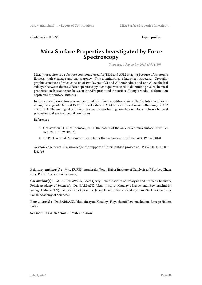Contribution ID : **55** Type : **poster** 

#### **Mica Surface Properties Investigated by Force Spectroscopy**

*Thursday, 6 September 2018 15:00 (180)*

Mica (muscovite) is a substrate commonly used for TEM and AFM imaging because of its atomic flatness, high cleavage and transparency. This aluminosilicate has sheet structure. Crystallographic structure of mica consists of two layers of Si and Al tetrahedrals and one Al octahedral sublayer between them.1,2 Force spectroscopy technique was used to determine physicochemical properties such as adhesion between the AFM probe and the surface, Young's Moduli, deformation depth and the surface stiffness.

In this work adhesion forces were measured in different conditions (air or NaCl solution with ionic strengths range of  $0.001 - 0.15$  M). The velocities of AFM tip withdrawal were in the range of  $0.02$ – 5 μm s-1. The main goal of these experiments was finding correlation between physiochemical properties and environmental conditions.

References

- 1. Christenson, H. K. & Thomson, N. H. The nature of the air-cleaved mica surface. Surf. Sci. Rep. 71, 367–390 (2016).
- 2. De Poel, W. et al. Muscovite mica: Flatter than a pancake. Surf. Sci. 619, 19–24 (2014).

Acknowledgements: I acknowledge the support of InterDokMed project no. POWR.03.02.00-00- I013/16

**Primary author(s) :** Mrs. KUREK, Agnieszka (Jerzy Haber Institute of Catalysis and Surface Chemistry, Polish Academy of Sciences)

**Co-author(s) :** Ms. CIENIAWSKA, Beata (Jerzy Haber Institute of Catalysis and Surface Chemistry, Polish Academy of Sciences); Dr. BARBASZ, Jakub (Instytut Katalizy i Fizyochemii Powierzchni im. Jerzego Habera PAN); Dr. SOFINSKA, Kamila (Jerzy Haber Institute of Catalysis and Surface Chemistry Polish Academy of Sciences)

**Presenter(s) :** Dr. BARBASZ, Jakub (Instytut Katalizy i Fizyochemii Powierzchni im. Jerzego Habera PAN)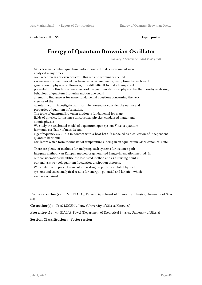Contribution ID: 56 Type : **poster** 

# **Energy of Quantum Brownian Oscillator**

*Thursday, 6 September 2018 15:00 (180)*

Models which contain quantum particle coupled to its environment were analysed many times over recent years or even decades. This old and seemingly clichéd system-environment model has been re-considered many, many times by each next generation of physicists. However, it is still difficult to find a transparent presentation of this fundamental issue of the quantum statistical physics. Furthermore by analysing behaviour of quantum Brownian motion one could attempt to find answer for many fundamental questions concerning the very essence of the quantum world, investigate transport phenomena or consider the nature and properties of quantum information. The topic of quantum Brownian motion is fundamental for many fields of physics, for instance in statistical physics, condensed matter and atomic physics. We study the celebrated model of a quantum open system *S*, i.e. a quantum harmonic oscillator of mass *M* and eigenfrequency  $\omega_0$ . It is in contact with a heat bath *B* modeled as a collection of independent quantum harmonic oscillators which form thermostat of temperature *T* being in an equilibrium Gibbs canonical state. There are plenty of methods for analysing such systems for instance path integrals method, van Kampen method or generalised Langevin equation method. In our considerations we utilise the last listed method and as a starting point in our analysis we took quantum fluctuation-dissipation theorem. We would like to present some of interesting properties exhibited by such

systems and exact, analytical results for energy - potential and kinetic - which we have obtained.

**Primary author(s) :** Mr. BIALAS, Pawel (Department of Theoretical Physics, University of Silesia)

**Co-author(s) :** Prof. ŁUCZKA, Jerzy (University of Silesia, Katowice)

**Presenter(s) :** Mr. BIALAS, Pawel (Department of Theoretical Physics, University of Silesia)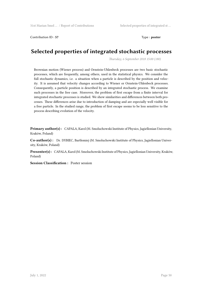Contribution ID: 57 Type : **poster** 

## **Selected properties of integrated stochastic processes**

*Thursday, 6 September 2018 15:00 (180)*

Brownian motion (Wiener process) and Ornstein-Uhlenbeck processes are two basic stochastic processes, which are frequently, among others, used in the statistical physics. We consider the full stochastic dynamics, i.e. a situation when a particle is described by the position and velocity. It is assumed that velocity changes according to Wiener or Ornstein-Uhlenbeck processes. Consequently, a particle position is described by an integrated stochastic process. We examine such processes in the free case. Moreover, the problem of first escape from a finite interval for integrated stochastic processes is studied. We show similarities and differences between both processes. These differences arise due to introduction of damping and are especially well visible for a free particle. In the studied range, the problem of first escape seems to be less sensitive to the process describing evolution of the velocity.

**Primary author(s):** CAPALA, Karol (M. Smoluchowski Institute of Physics, Jagiellonian University, Kraków, Poland)

**Co-author(s) :** Dr. DYBIEC, Bartłomiej (M. Smoluchowski Institute of Physics, Jagiellonian University, Kraków, Poland)

**Presenter(s) :** CAPALA, Karol (M. Smoluchowski Institute of Physics, Jagiellonian University, Kraków, Poland)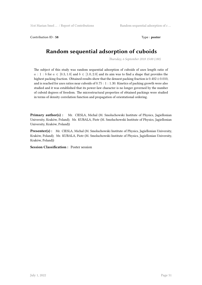Contribution ID: 58 Type : **poster** 

# **Random sequential adsorption of cuboids**

*Thursday, 6 September 2018 15:00 (180)*

The subject of this study was random sequential adsorption of cuboids of axes length ratio of  $a: 1:b$  for  $a \in [0.3, 1.0]$  and  $b \in [1.0, 2.0]$  and its aim was to find a shape that provides the highest packing fraction. Obtained results show that the densest packing fraction is 0*.*402*±*0*.*010, and is reached for axes ratios near cuboids of 0*.*75 : 1 : 1*.*30. Kinetics of packing growth were also studied and it was established that its power-law character is no longer governed by the number of cuboid degrees of freedom. The microstructural properties of obtained packings were studied in terms of density correlation function and propagation of orientational ordering.

Primary author(s) : Mr. CIESLA, Michal (M. Smoluchowski Institute of Physics, Jagiellonian University, Kraków, Poland); Mr. KUBALA, Piotr (M. Smoluchowski Institute of Physics, Jagiellonian University, Kraków, Poland))

**Presenter(s) :** Mr. CIESLA, Michal (M. Smoluchowski Institute of Physics, Jagiellonian University, Kraków, Poland); Mr. KUBALA, Piotr (M. Smoluchowski Institute of Physics, Jagiellonian University, Kraków, Poland))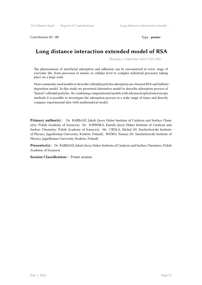Contribution ID: 59 Type : **poster** 

# **Long distance interaction extended model of RSA**

*Thursday, 6 September 2018 15:00 (180)*

The phenomenon of interfacial adsorption and adhesion can be encountered at every stage of everyday life, from processes at atomic or cellular level to complex industrial processes taking place on a large scale.

Most commonly used models to describe colloidal particles adsorption are classical RSA and ballisticdeposition model. In this study we presented alternative model to describe adsorption process of "haired" colloidal particles. By combining computational models with advanced optical microscopy methods it is possible to investigate the adsorption process in a wide range of times and directly compare experimental data with mathematical model.

**Primary author(s) :** Dr. BARBASZ, Jakub (Jerzy Haber Institute of Catalysis and Surface Chemistry, Polish Academy of Sciences); Dr. SOFINSKA, Kamila (Jerzy Haber Institute of Catalysis and Surface Chemistry, Polish Academy of Sciences); Mr. CIESLA, Michal (M. Smoluchowski Institute of Physics, Jagiellonian University, Kraków, Poland); WITKO, Tomasz (M. Smoluchowski Institute of Physics, Jagiellonian University, Kraków, Poland)

**Presenter(s) :** Dr. BARBASZ, Jakub (Jerzy Haber Institute of Catalysis and Surface Chemistry, Polish Academy of Sciences)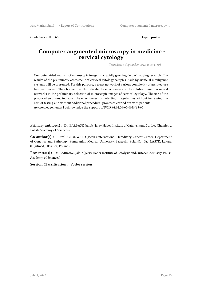Contribution ID: **60** Type : **poster** 

#### **Computer augmented microscopy in medicine cervical cytology**

*Thursday, 6 September 2018 15:00 (180)*

Computer aided analysis of microscopic images is a rapidly growing field of imaging research. The results of the preliminary assessment of cervical cytology samples made by artificial intelligence systems will be presented. For this purpose, a u-net network of various complexity of architecture has been tested. The obtained results indicate the effectiveness of the solution based on neural networks in the preliminary selection of microscopic images of cervical cytology. The use of the proposed solutions, increases the effectiveness of detecting irregularities without increasing the cost of testing and without additional procedural processes carried out with patients. Acknowledgements: I acknowledge the support of POIR.01.02.00-00-0038/15-00

**Primary author(s) :** Dr. BARBASZ, Jakub (Jerzy Haber Institute of Catalysis and Surface Chemistry, Polish Academy of Sciences)

**Co-author(s) :** Prof. GRONWALD, Jacek (International Hereditary Cancer Center, Department of Genetics and Pathology, Pomeranian Medical University, Szczecin, Poland); Dr. LASYK, Łukasz (Digitmed, Oleśnica, Poland)

**Presenter(s) :** Dr. BARBASZ, Jakub (Jerzy Haber Institute of Catalysis and Surface Chemistry, Polish Academy of Sciences)